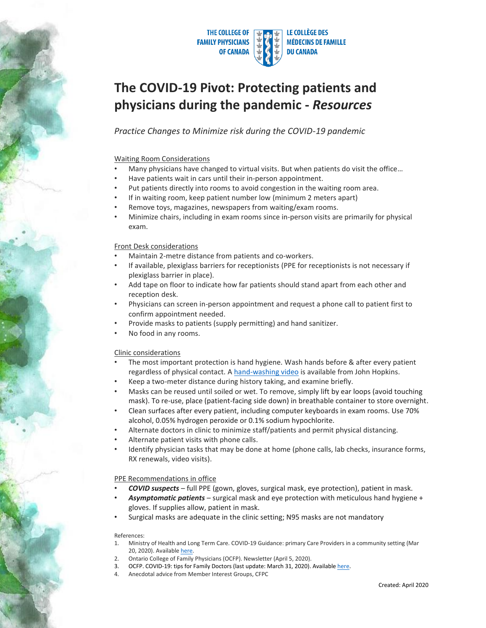

# **The COVID-19 Pivot: Protecting patients and physicians during the pandemic -** *Resources*

*Practice Changes to Minimize risk during the COVID-19 pandemic*

#### Waiting Room Considerations

- Many physicians have changed to virtual visits. But when patients do visit the office...
- Have patients wait in cars until their in-person appointment.
- Put patients directly into rooms to avoid congestion in the waiting room area.
- If in waiting room, keep patient number low (minimum 2 meters apart)
- Remove toys, magazines, newspapers from waiting/exam rooms.
- Minimize chairs, including in exam rooms since in-person visits are primarily for physical exam.

#### Front Desk considerations

- Maintain 2-metre distance from patients and co-workers.
- If available, plexiglass barriers for receptionists (PPE for receptionists is not necessary if plexiglass barrier in place).
- Add tape on floor to indicate how far patients should stand apart from each other and reception desk.
- Physicians can screen in-person appointment and request a phone call to patient first to confirm appointment needed.
- Provide masks to patients (supply permitting) and hand sanitizer.
- No food in any rooms.

#### Clinic considerations

- The most important protection is hand hygiene. Wash hands before & after every patient regardless of physical contact. A [hand-washing video](https://www.youtube.com/watch?v=IisgnbMfKvI) is available from John Hopkins.
- Keep a two-meter distance during history taking, and examine briefly.
- Masks can be reused until soiled or wet. To remove, simply lift by ear loops (avoid touching mask). To re-use, place (patient-facing side down) in breathable container to store overnight.
- Clean surfaces after every patient, including computer keyboards in exam rooms. Use 70% alcohol, 0.05% hydrogen peroxide or 0.1% sodium hypochlorite.
- Alternate doctors in clinic to minimize staff/patients and permit physical distancing.
- Alternate patient visits with phone calls.
- Identify physician tasks that may be done at home (phone calls, lab checks, insurance forms, RX renewals, video visits).

#### PPE Recommendations in office

- *COVID suspects* full PPE (gown, gloves, surgical mask, eye protection), patient in mask.
- *Asymptomatic patients* surgical mask and eye protection with meticulous hand hygiene + gloves. If supplies allow, patient in mask.
- Surgical masks are adequate in the clinic setting; N95 masks are not mandatory

#### References:

- 1. Ministry of Health and Long Term Care. COVID-19 Guidance: primary Care Providers in a community setting (Mar 20, 2020). Availabl[e here.](http://www.health.gov.on.ca/en/pro/programs/publichealth/coronavirus/docs/2019_primary_care_guidance.pdf)
- 2. Ontario College of Family Physicians (OCFP). Newsletter (April 5, 2020).
- 3. OCFP. COVID-19: tips for Family Doctors (last update: March 31, 2020). Availabl[e here.](https://www.ontariofamilyphysicians.ca/tools-resources/timely-trending/novel-coronavirus-2019-ncov/novel-coronavirus:-tips-for-family-doctors)
- 4. Anecdotal advice from Member Interest Groups, CFPC